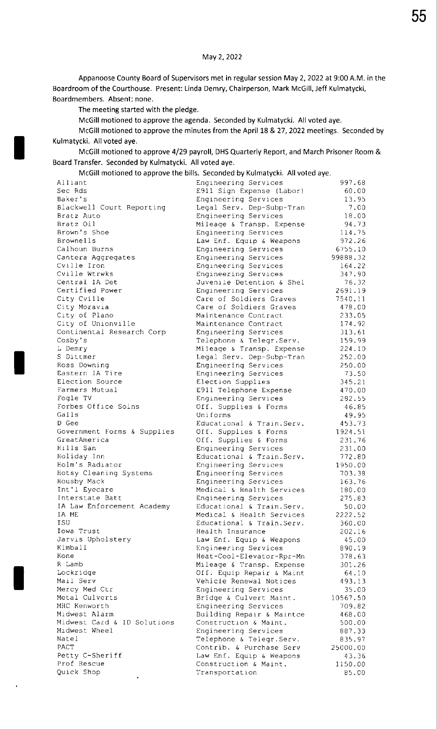Appanoose County Board of Supervisors met in regular session May 2, 2022 at 9:00 AM. in the Boardroom of the Courthouse. Present: Linda Demry, Chairperson, Mark McGiIl, Jeff Kulmatycki, Boardmembers. Absent: none.

The meeting started with the pledge.

McGill motioned to approve the agenda. Seconded by Kulmatycki. All voted aye.

McGill motioned to approve the minutes from the April 18 & 27, 2022 meetings. Seconded by Kulmatycki. All voted aye.

McGill motioned to approve 4/29 payroll, DHS Quarterly Report, and March Prisoner Room & Board Transfer. Seconded by Kulmatycki. All voted aye.

McGill motioned to approve the bills. Seconded by Kulmatycki. All voted aye.

| Alliant                            | Engineering Services              | 997.68          |
|------------------------------------|-----------------------------------|-----------------|
| Sec Rds                            | E911 Sign Expense (Labor)         | 60.00           |
| Baker's                            | Engineering Services              | 13.95           |
| Blackwell Court Reporting          | Legal Serv. Dep-Subp-Tran         | 7.00            |
| Bratz Auto                         | Engineering Services              | 18.00           |
| Bratz Oil                          | Mileage & Transp. Expense         | 94.73           |
| Brown's Shoe                       | Engineering Services              | 114.75          |
| Brownells                          | Law Enf. Equip & Weapons          | 972.26          |
| Calhoun Burns                      | Engineering Services              | 6755.10         |
| Cantera Aggregates                 | Engineering Services              | 99888.32        |
| Cville Iron                        | Engineering Services              | 164.22          |
| Cville Wtrwks                      | Engineering Services              | 347.90          |
| Central IA Det                     | Juvenile Detention & Shel         | 76.32           |
| Certified Power                    | Engineering Services              | 2691.19         |
| City Cville                        | Care of Soldiers Graves           | 7540.11         |
| City Moravia                       | Care of Soldiers Graves           | 478.00          |
| City of Plano                      | Maintenance Contract              | 233.05          |
| City of Unionville                 | Maintenance Contract              | 174.92          |
| Continental Research Corp          | Engineering Services              | 313.61          |
| Cosby's                            | Telephone & Telegr. Serv.         | 159.99          |
| L Demry                            | Mileage & Transp. Expense         | 224.10          |
| S Dittmer                          | Legal Serv. Dep-Subp-Tran         | 252.00          |
| Ross Downing                       | Engineering Services              | 250.00          |
| Eastern IA Tire<br>Election Source | Engineering Services              | 73.50           |
|                                    | Election Supplies                 | 345.21          |
| Farmers Mutual                     | E911 Telephone Expense            | 470.00          |
| Fogle TV<br>Forbes Office Solns    | Engineering Services              | 282.55          |
| Galls                              | Off. Supplies & Forms<br>Uniforms | 46.85           |
| D Gee                              | Educational & Train. Serv.        | 49.95<br>453.73 |
| Government Forms & Supplies        | Off. Supplies & Forms             | 1924.51         |
| GreatAmerica                       | Off. Supplies & Forms             | 231.76          |
| Hills San                          | Engineering Services              | 231.00          |
| Holiday Inn                        | Educational & Train. Serv.        | 772.80          |
| Holm's Radiator                    | Engineering Services              | 1950.00         |
| Hotsy Cleaning Systems             | Engineering Services              | 703.38          |
| Housby Mack                        | Engineering Services              | 163.76          |
| Int'l Eyecare                      | Medical & Health Services         | 180.00          |
| Interstate Batt                    | Engineering Services              | 275.83          |
| IA Law Enforcement Academy         | Educational & Train. Serv.        | 50.00           |
| IA ME                              | Medical & Health Services         | 2222.52         |
| ISU                                | Educational & Train. Serv.        | 360.00          |
| Iowa Trust                         | Health Insurance                  | 202.16          |
| Jarvis Upholstery                  | Law Enf. Equip & Weapons          | 45.00           |
| Kimball                            | Engineering Services              | 890.19          |
| Kone                               | Heat-Cool-Elevator-Rpr-Mn         | 378.63          |
| R Lamb                             | Mileage & Transp. Expense         | 301.26          |
| Lockridge                          | Off. Equip Repair & Maint         | 64.10           |
| Mail Serv                          | Vehicle Renewal Notices           | 493.13          |
| Mercy Med Ctr                      | Engineering Services              | 35.00           |
| Metal Culverts                     | Bridge & Culvert Maint.           | 10567.50        |
| MHC Kenworth                       | Engineering Services              | 709.82          |
| Midwest Alarm                      | Building Repair & Maintce         | 468.00          |
| Midwest Card & ID Solutions        | Construction & Maint,             | 500.00          |
| Midwest Wheel                      | Engineering Services              | 887.33          |
| Natel                              | Telephone & Telegr. Serv.         | 835.97          |
| PACT                               | Contrib. & Purchase Serv          | 25000.00        |
| Petty C-Sheriff                    | Law Enf. Equip & Weapons          | 43.36           |
| Prof Rescue                        | Construction & Maint.             | 1150.00         |
| Quick Shop                         | Transportation                    | 85.00           |